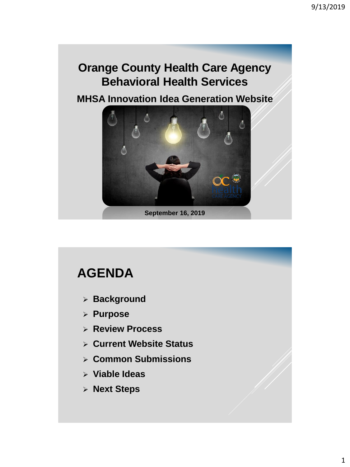### **Orange County Health Care Agency Behavioral Health Services**

**MHSA Innovation Idea Generation Website** 



### **AGENDA**

- **Background**
- **Purpose**
- **Review Process**
- **Current Website Status**
- **Common Submissions**
- **Viable Ideas**
- **Next Steps**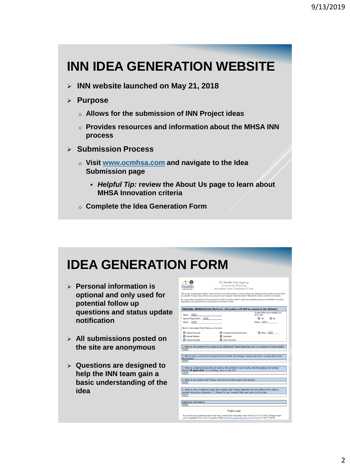# **INN IDEA GENERATION WEBSITE**

**INN website launched on May 21, 2018**

### **Purpose**

- o **Allows for the submission of INN Project ideas**
- o **Provides resources and information about the MHSA INN process**
- **Submission Process**
	- o **Visit www.ocmhsa.com and navigate to the Idea Submission page** 
		- *Helpful Tip:* **review the About Us page to learn about MHSA Innovation criteria**
	- o **Complete the Idea Generation Form**

### **IDEA GENERATION FORM**

- **Personal information is optional and only used for potential follow up questions and status update notification**
- **All submissions posted on the site are anonymous**
- **Questions are designed to help the INN team gain a basic understanding of the idea**



OC Health Care Agency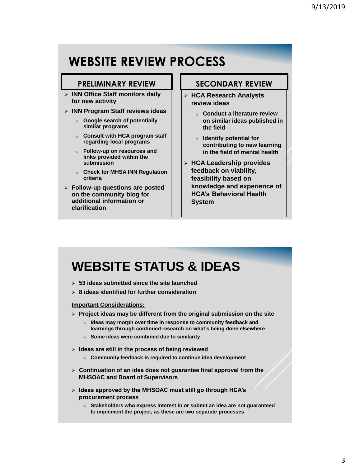### **WEBSITE REVIEW PROCESS**

### **PRELIMINARY REVIEW**

- **INN Office Staff monitors daily for new activity**
- **INN Program Staff reviews ideas**
	- o **Google search of potentially similar programs**
	- o **Consult with HCA program staff regarding local programs**
	- o **Follow-up on resources and links provided within the submission**
	- o **Check for MHSA INN Regulation criteria**
- **Follow-up questions are posted on the community blog for additional information or clarification**

### **SECONDARY REVIEW**

- **HCA Research Analysts review ideas**
	- o **Conduct a literature review on similar ideas published in the field**
	- o **Identify potential for contributing to new learning in the field of mental health**
- **HCA Leadership provides feedback on viability, feasibility based on knowledge and experience of HCA's Behavioral Health System**

### **WEBSITE STATUS & IDEAS**

- **53 ideas submitted since the site launched**
- **8 ideas identified for further consideration**

#### **Important Considerations:**

- **Project ideas may be different from the original submission on the site** 
	- o **Ideas may morph over time in response to community feedback and learnings through continued research on what's being done elsewhere**
	- o **Some ideas were combined due to similarity**
- **Ideas are still in the process of being reviewed**
	- o **Community feedback is required to continue idea development**
- **Continuation of an idea does not guarantee final approval from the MHSOAC and Board of Supervisors**
- **Ideas approved by the MHSOAC must still go through HCA's procurement process** 
	- o **Stakeholders who express interest in or submit an idea are not guaranteed to implement the project, as these are two separate processes**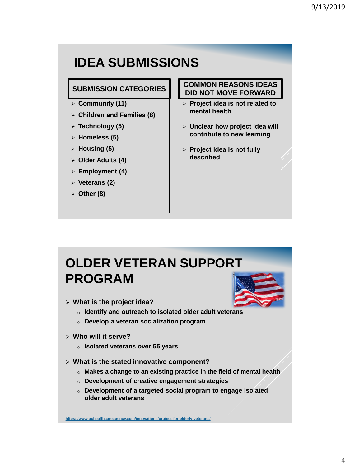# **IDEA SUBMISSIONS**

### **SUBMISSION CATEGORIES**

- **Community (11)**
- **Children and Families (8)**
- **Technology (5)**
- **Homeless (5)**
- **Housing (5)**
- **Older Adults (4)**
- **Employment (4)**
- **Veterans (2)**
- **Other (8)**

### **COMMON REASONS IDEAS DID NOT MOVE FORWARD**

- **Project idea is not related to mental health**
- **Unclear how project idea will contribute to new learning**
- **Project idea is not fully described**

## **OLDER VETERAN SUPPORT PROGRAM**

- **What is the project idea?**
	- o **Identify and outreach to isolated older adult veterans**
	- o **Develop a veteran socialization program**
- **Who will it serve?** 
	- o **Isolated veterans over 55 years**
- **What is the stated innovative component?** 
	- o **Makes a change to an existing practice in the field of mental health**
	- o **Development of creative engagement strategies**
	- o **Development of a targeted social program to engage isolated older adult veterans**

**https://www.ochealthcareagency.com/innovations/project-for-elderly-veterans/**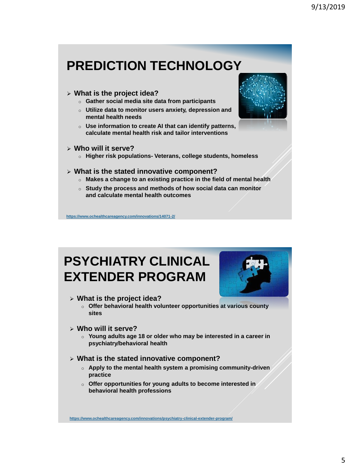# **PREDICTION TECHNOLOGY**

#### **What is the project idea?**

- o **Gather social media site data from participants**
- o **Utilize data to monitor users anxiety, depression and mental health needs**
- o **Use information to create AI that can identify patterns, calculate mental health risk and tailor interventions**
- **Who will it serve?** 
	- o **Higher risk populations- Veterans, college students, homeless**

#### **What is the stated innovative component?**

- o **Makes a change to an existing practice in the field of mental health**
- o **Study the process and methods of how social data can monitor and calculate mental health outcomes**

**https://www.ochealthcareagency.com/innovations/14071-2/**

### **PSYCHIATRY CLINICAL EXTENDER PROGRAM**



#### **What is the project idea?**

- o **Offer behavioral health volunteer opportunities at various county sites**
- **Who will it serve?** 
	- o **Young adults age 18 or older who may be interested in a career in psychiatry/behavioral health**

#### **What is the stated innovative component?**

- o **Apply to the mental health system a promising community-driven practice**
- o **Offer opportunities for young adults to become interested in behavioral health professions**

**https://www.ochealthcareagency.com/innovations/psychiatry-clinical-extender-program/**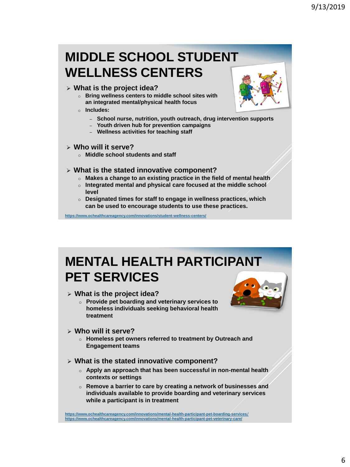### **MIDDLE SCHOOL STUDENT WELLNESS CENTERS**

#### **What is the project idea?**

- o **Bring wellness centers to middle school sites with an integrated mental/physical health focus**
- o **Includes:** 
	- ‒ **School nurse, nutrition, youth outreach, drug intervention supports**
	- ‒ **Youth driven hub for prevention campaigns**
	- ‒ **Wellness activities for teaching staff**

#### **Who will it serve?**

o **Middle school students and staff** 

#### **What is the stated innovative component?**

- o **Makes a change to an existing practice in the field of mental health**
- o **Integrated mental and physical care focused at the middle school level**
- o **Designated times for staff to engage in wellness practices, which can be used to encourage students to use these practices.**

**https://www.ochealthcareagency.com/innovations/student-wellness-centers/**

## **MENTAL HEALTH PARTICIPANT PET SERVICES**

#### **What is the project idea?**

o **Provide pet boarding and veterinary services to homeless individuals seeking behavioral health treatment** 



- **Who will it serve?** 
	- o **Homeless pet owners referred to treatment by Outreach and Engagement teams**

#### **What is the stated innovative component?**

- o **Apply an approach that has been successful in non-mental health contexts or settings**
- o **Remove a barrier to care by creating a network of businesses and individuals available to provide boarding and veterinary services while a participant is in treatment**

**https://www.ochealthcareagency.com/innovations/mental-health-participant-pet-boarding-services/ https://www.ochealthcareagency.com/innovations/mental-health-participant-pet-veterinary-care/**

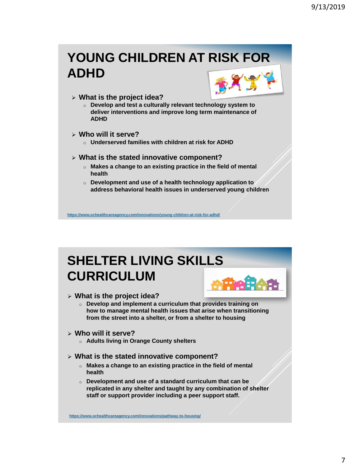# **YOUNG CHILDREN AT RISK FOR ADHD**



o **Develop and test a culturally relevant technology system to deliver interventions and improve long term maintenance of ADHD**

#### **Who will it serve?**

o **Underserved families with children at risk for ADHD**

#### **What is the stated innovative component?**

- o **Makes a change to an existing practice in the field of mental health**
- o **Development and use of a health technology application to address behavioral health issues in underserved young children**

**https://www.ochealthcareagency.com/innovations/young-children-at-risk-for-adhd/**

# **SHELTER LIVING SKILLS CURRICULUM**

#### **What is the project idea?**

- o **Develop and implement a curriculum that provides training on how to manage mental health issues that arise when transitioning from the street into a shelter, or from a shelter to housing**
- **Who will it serve?** 
	- o **Adults living in Orange County shelters**
- **What is the stated innovative component?** 
	- o **Makes a change to an existing practice in the field of mental health**
	- o **Development and use of a standard curriculum that can be replicated in any shelter and taught by any combination of shelter staff or support provider including a peer support staff.**

**https://www.ochealthcareagency.com/innovations/pathway-to-housing/**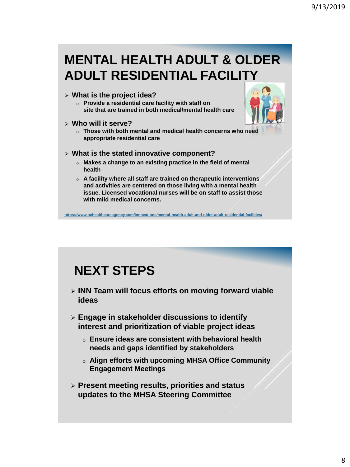### **MENTAL HEALTH ADULT & OLDER ADULT RESIDENTIAL FACILITY**

#### **What is the project idea?**

- o **Provide a residential care facility with staff on site that are trained in both medical/mental health care**
- **Who will it serve?** 
	- o **Those with both mental and medical health concerns who need appropriate residential care**

#### **What is the stated innovative component?**

- o **Makes a change to an existing practice in the field of mental health**
- o **A facility where all staff are trained on therapeutic interventions and activities are centered on those living with a mental health issue. Licensed vocational nurses will be on staff to assist those with mild medical concerns.**

**https://www.ochealthcareagency.com/innovations/mental-health-adult-and-older-adult-residential-facilities/**

### **NEXT STEPS**

- **INN Team will focus efforts on moving forward viable ideas**
- **Engage in stakeholder discussions to identify interest and prioritization of viable project ideas**
	- o **Ensure ideas are consistent with behavioral health needs and gaps identified by stakeholders**
	- o **Align efforts with upcoming MHSA Office Community Engagement Meetings**
- **Present meeting results, priorities and status updates to the MHSA Steering Committee**